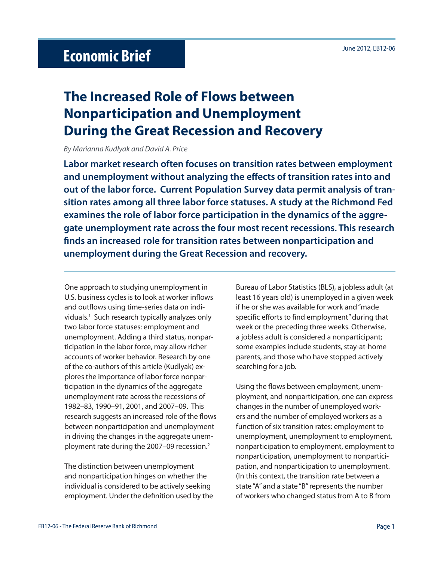## June 2012, EB12-06 **Economic Brief**

## **The Increased Role of Flows between Nonparticipation and Unemployment During the Great Recession and Recovery**

By Marianna Kudlyak and David A. Price

**Labor market research often focuses on transition rates between employment**  and unemployment without analyzing the effects of transition rates into and **out of the labor force. Current Population Survey data permit analysis of transition rates among all three labor force statuses. A study at the Richmond Fed examines the role of labor force participation in the dynamics of the aggregate unemployment rate across the four most recent recessions. This research fi nds an increased role for transition rates between nonparticipation and unemployment during the Great Recession and recovery.** 

One approach to studying unemployment in U.S. business cycles is to look at worker inflows and outflows using time-series data on individuals.1 Such research typically analyzes only two labor force statuses: employment and unemployment. Adding a third status, nonparticipation in the labor force, may allow richer accounts of worker behavior. Research by one of the co-authors of this article (Kudlyak) explores the importance of labor force nonparticipation in the dynamics of the aggregate unemployment rate across the recessions of 1982–83, 1990–91, 2001, and 2007–09. This research suggests an increased role of the flows between nonparticipation and unemployment in driving the changes in the aggregate unemployment rate during the 2007–09 recession.2

The distinction between unemployment and nonparticipation hinges on whether the individual is considered to be actively seeking employment. Under the definition used by the Bureau of Labor Statistics (BLS), a jobless adult (at least 16 years old) is unemployed in a given week if he or she was available for work and "made specific efforts to find employment" during that week or the preceding three weeks. Otherwise, a jobless adult is considered a nonparticipant; some examples include students, stay-at-home parents, and those who have stopped actively searching for a job.

Using the flows between employment, unemployment, and nonparticipation, one can express changes in the number of unemployed workers and the number of employed workers as a function of six transition rates: employment to unemployment, unemployment to employment, nonparticipation to employment, employment to nonparticipation, unemployment to nonparticipation, and nonparticipation to unemployment. (In this context, the transition rate between a state "A" and a state "B" represents the number of workers who changed status from A to B from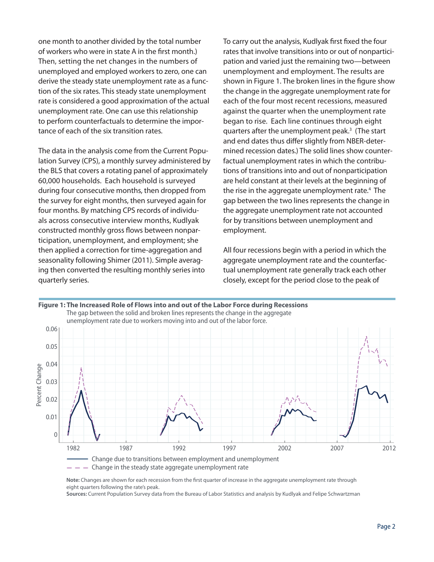one month to another divided by the total number of workers who were in state A in the first month.) Then, setting the net changes in the numbers of unemployed and employed workers to zero, one can derive the steady state unemployment rate as a function of the six rates. This steady state unemployment rate is considered a good approximation of the actual unemployment rate. One can use this relationship to perform counterfactuals to determine the importance of each of the six transition rates.

The data in the analysis come from the Current Population Survey (CPS), a monthly survey administered by the BLS that covers a rotating panel of approximately 60,000 households. Each household is surveyed during four consecutive months, then dropped from the survey for eight months, then surveyed again for four months. By matching CPS records of individuals across consecutive interview months, Kudlyak constructed monthly gross flows between nonparticipation, unemployment, and employment; she then applied a correction for time-aggregation and seasonality following Shimer (2011). Simple averaging then converted the resulting monthly series into quarterly series.

To carry out the analysis, Kudlyak first fixed the four rates that involve transitions into or out of nonparticipation and varied just the remaining two—between unemployment and employment. The results are shown in Figure 1. The broken lines in the figure show the change in the aggregate unemployment rate for each of the four most recent recessions, measured against the quarter when the unemployment rate began to rise. Each line continues through eight quarters after the unemployment peak.<sup>3</sup> (The start and end dates thus differ slightly from NBER-determined recession dates.) The solid lines show counterfactual unemployment rates in which the contributions of transitions into and out of nonparticipation are held constant at their levels at the beginning of the rise in the aggregate unemployment rate.<sup>4</sup> The gap between the two lines represents the change in the aggregate unemployment rate not accounted for by transitions between unemployment and employment.

All four recessions begin with a period in which the aggregate unemployment rate and the counterfactual unemployment rate generally track each other closely, except for the period close to the peak of



Change in the steady state aggregate unemployment rate

Note: Changes are shown for each recession from the first quarter of increase in the aggregate unemployment rate through eight quarters following the rate's peak.

**Sources:** Current Population Survey data from the Bureau of Labor Statistics and analysis by Kudlyak and Felipe Schwartzman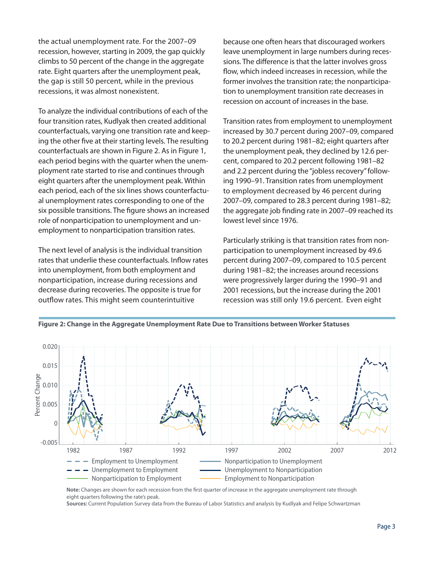the actual unemployment rate. For the 2007–09 recession, however, starting in 2009, the gap quickly climbs to 50 percent of the change in the aggregate rate. Eight quarters after the unemployment peak, the gap is still 50 percent, while in the previous recessions, it was almost nonexistent.

To analyze the individual contributions of each of the four transition rates, Kudlyak then created additional counterfactuals, varying one transition rate and keeping the other five at their starting levels. The resulting counterfactuals are shown in Figure 2. As in Figure 1, each period begins with the quarter when the unemployment rate started to rise and continues through eight quarters after the unemployment peak. Within each period, each of the six lines shows counterfactual unemployment rates corresponding to one of the six possible transitions. The figure shows an increased role of nonparticipation to unemployment and unemployment to nonparticipation transition rates.

The next level of analysis is the individual transition rates that underlie these counterfactuals. Inflow rates into unemployment, from both employment and nonparticipation, increase during recessions and decrease during recoveries. The opposite is true for outflow rates. This might seem counterintuitive

because one often hears that discouraged workers leave unemployment in large numbers during recessions. The difference is that the latter involves gross flow, which indeed increases in recession, while the former involves the transition rate; the nonparticipation to unemployment transition rate decreases in recession on account of increases in the base.

Transition rates from employment to unemployment increased by 30.7 percent during 2007–09, compared to 20.2 percent during 1981–82; eight quarters after the unemployment peak, they declined by 12.6 percent, compared to 20.2 percent following 1981–82 and 2.2 percent during the "jobless recovery" following 1990–91. Transition rates from unemployment to employment decreased by 46 percent during 2007–09, compared to 28.3 percent during 1981–82; the aggregate job finding rate in 2007-09 reached its lowest level since 1976.

Particularly striking is that transition rates from nonparticipation to unemployment increased by 49.6 percent during 2007–09, compared to 10.5 percent during 1981–82; the increases around recessions were progressively larger during the 1990–91 and 2001 recessions, but the increase during the 2001 recession was still only 19.6 percent. Even eight



**Figure 2: Change in the Aggregate Unemployment Rate Due to Transitions between Worker Statuses**

**Sources:** Current Population Survey data from the Bureau of Labor Statistics and analysis by Kudlyak and Felipe Schwartzman

Note: Changes are shown for each recession from the first quarter of increase in the aggregate unemployment rate through eight quarters following the rate's peak.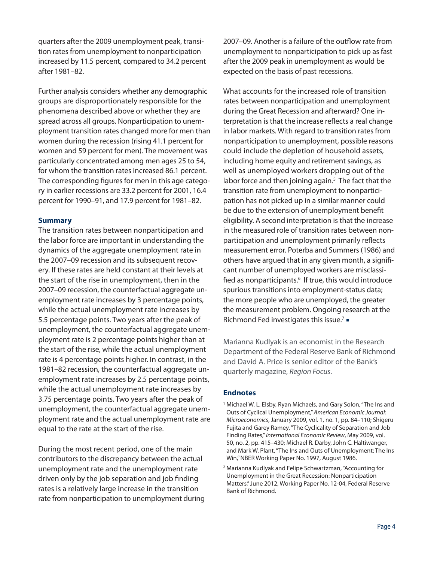quarters after the 2009 unemployment peak, transition rates from unemployment to nonparticipation increased by 11.5 percent, compared to 34.2 percent after 1981–82.

Further analysis considers whether any demographic groups are disproportionately responsible for the phenomena described above or whether they are spread across all groups. Nonparticipation to unemployment transition rates changed more for men than women during the recession (rising 41.1 percent for women and 59 percent for men). The movement was particularly concentrated among men ages 25 to 54, for whom the transition rates increased 86.1 percent. The corresponding figures for men in this age category in earlier recessions are 33.2 percent for 2001, 16.4 percent for 1990–91, and 17.9 percent for 1981–82.

## **Summary**

The transition rates between nonparticipation and the labor force are important in understanding the dynamics of the aggregate unemployment rate in the 2007–09 recession and its subsequent recovery. If these rates are held constant at their levels at the start of the rise in unemployment, then in the 2007–09 recession, the counterfactual aggregate unemployment rate increases by 3 percentage points, while the actual unemployment rate increases by 5.5 percentage points. Two years after the peak of unemployment, the counterfactual aggregate unemployment rate is 2 percentage points higher than at the start of the rise, while the actual unemployment rate is 4 percentage points higher. In contrast, in the 1981–82 recession, the counterfactual aggregate unemployment rate increases by 2.5 percentage points, while the actual unemployment rate increases by 3.75 percentage points. Two years after the peak of unemployment, the counterfactual aggregate unemployment rate and the actual unemployment rate are equal to the rate at the start of the rise.

During the most recent period, one of the main contributors to the discrepancy between the actual unemployment rate and the unemployment rate driven only by the job separation and job finding rates is a relatively large increase in the transition rate from nonparticipation to unemployment during 2007–09. Another is a failure of the outflow rate from unemployment to nonparticipation to pick up as fast after the 2009 peak in unemployment as would be expected on the basis of past recessions.

What accounts for the increased role of transition rates between nonparticipation and unemployment during the Great Recession and afterward? One interpretation is that the increase reflects a real change in labor markets. With regard to transition rates from nonparticipation to unemployment, possible reasons could include the depletion of household assets, including home equity and retirement savings, as well as unemployed workers dropping out of the labor force and then joining again.<sup>5</sup> The fact that the transition rate from unemployment to nonparticipation has not picked up in a similar manner could be due to the extension of unemployment benefit eligibility. A second interpretation is that the increase in the measured role of transition rates between nonparticipation and unemployment primarily reflects measurement error. Poterba and Summers (1986) and others have argued that in any given month, a significant number of unemployed workers are misclassified as nonparticipants.<sup>6</sup> If true, this would introduce spurious transitions into employment-status data; the more people who are unemployed, the greater the measurement problem. Ongoing research at the Richmond Fed investigates this issue.<sup>7</sup> =

Marianna Kudlyak is an economist in the Research Department of the Federal Reserve Bank of Richmond and David A. Price is senior editor of the Bank's quarterly magazine, Region Focus.

## **Endnotes**

- <sup>1</sup> Michael W. L. Elsby, Ryan Michaels, and Gary Solon, "The Ins and Outs of Cyclical Unemployment," American Economic Journal: Microeconomics, January 2009, vol. 1, no. 1, pp. 84–110; Shigeru Fujita and Garey Ramey, "The Cyclicality of Separation and Job Finding Rates," International Economic Review, May 2009, vol. 50, no. 2, pp. 415–430; Michael R. Darby, John C. Haltiwanger, and Mark W. Plant, "The Ins and Outs of Unemployment: The Ins Win," NBER Working Paper No. 1997, August 1986.
- 2 Marianna Kudlyak and Felipe Schwartzman, "Accounting for Unemployment in the Great Recession: Nonparticipation Matters," June 2012, Working Paper No. 12-04, Federal Reserve Bank of Richmond.